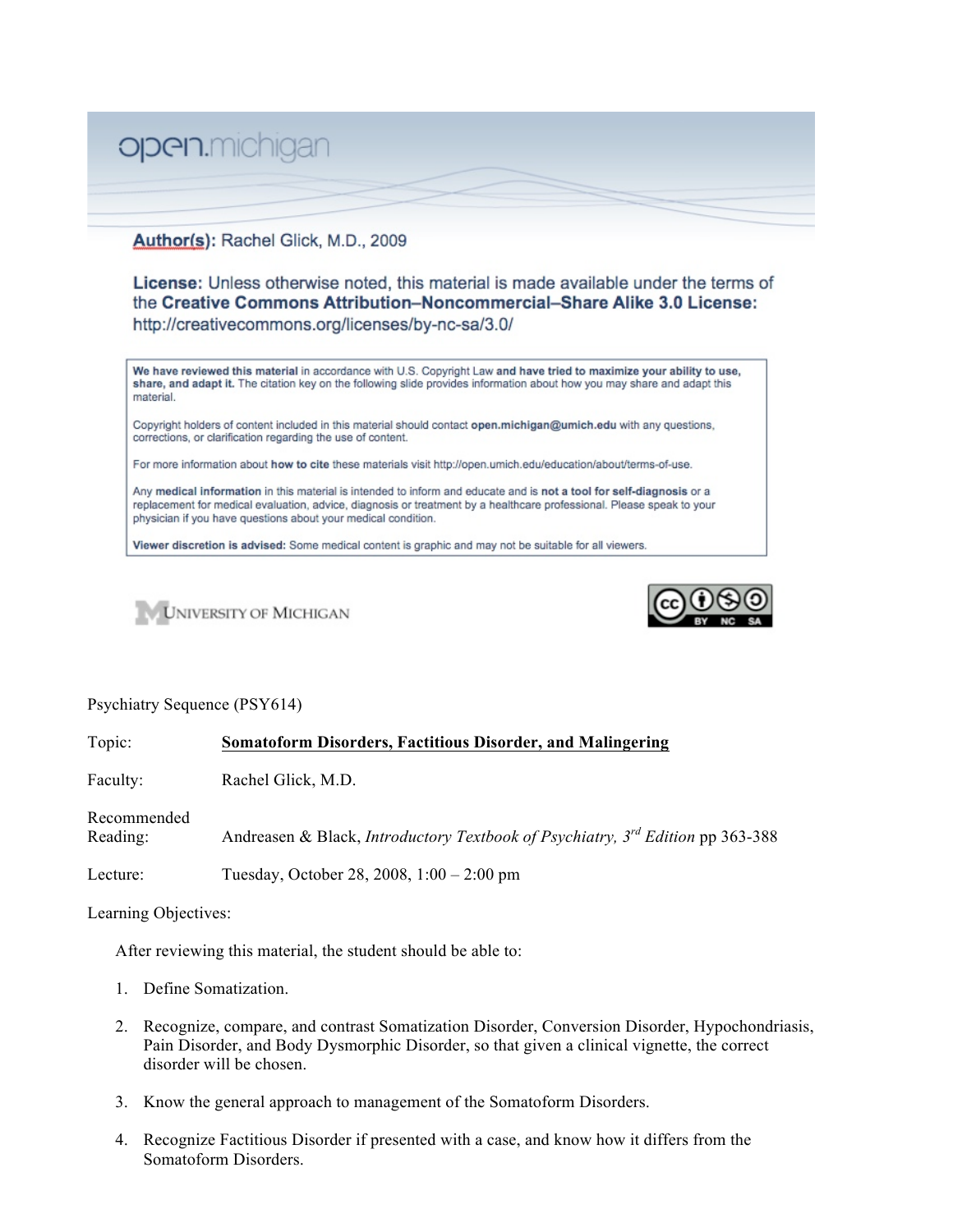

## Author(s): Rachel Glick, M.D., 2009

**License:** Unless otherwise noted, this material is made available under the terms of the Creative Commons Attribution-Noncommercial-Share Alike 3.0 License: http://creativecommons.org/licenses/by-nc-sa/3.0/

We have reviewed this material in accordance with U.S. Copyright Law and have tried to maximize your ability to use, share, and adapt it. The citation key on the following slide provides information about how you may share and adapt this material.

Copyright holders of content included in this material should contact open.michigan@umich.edu with any questions, corrections, or clarification regarding the use of content.

For more information about how to cite these materials visit http://open.umich.edu/education/about/terms-of-use.

Any medical information in this material is intended to inform and educate and is not a tool for self-diagnosis or a replacement for medical evaluation, advice, diagnosis or treatment by a healthcare professional. Please speak to your physician if you have questions about your medical condition.

Viewer discretion is advised: Some medical content is graphic and may not be suitable for all viewers.





## Psychiatry Sequence (PSY614)

Topic: **Somatoform Disorders, Factitious Disorder, and Malingering** Faculty: Rachel Glick, M.D. Recommended Reading: Andreasen & Black, *Introductory Textbook of Psychiatry, 3rd Edition* pp 363-388 Lecture: Tuesday, October 28, 2008, 1:00 – 2:00 pm Learning Objectives:

After reviewing this material, the student should be able to:

- 1. Define Somatization.
- 2. Recognize, compare, and contrast Somatization Disorder, Conversion Disorder, Hypochondriasis, Pain Disorder, and Body Dysmorphic Disorder, so that given a clinical vignette, the correct disorder will be chosen.
- 3. Know the general approach to management of the Somatoform Disorders.
- 4. Recognize Factitious Disorder if presented with a case, and know how it differs from the Somatoform Disorders.